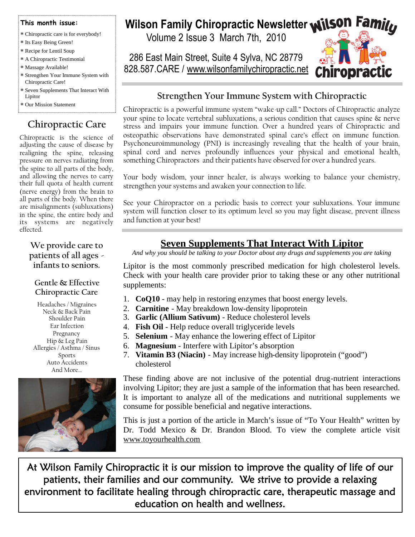#### **This month issue:**

- Chiropractic care is for everybody!
- Its Easy Being Green!
- Recipe for Lentil Soup A Chiropractic Testimonial
- Massage Available!
- Strengthen Your Immune System with Chiropractic Care!
- Seven Supplements That Interact With Lipitor
- Our Mission Statement

## **Chiropractic Care**

Chiropractic is the science of adjusting the cause of disease by realigning the spine, releasing pressure on nerves radiating from the spine to all parts of the body, and allowing the nerves to carry their full quota of health current (nerve energy) from the brain to all parts of the body. When there are misalignments (subluxations) in the spine, the entire body and its systems are negatively effected.

#### **We provide care to patients of all ages infants to seniors.**

#### **Gentle & Effective Chiropractic Care**

Headaches / Migraines Neck & Back Pain Shoulder Pain Ear Infection Pregnancy Hip & Leg Pain Allergies / Asthma / Sinus Sports Auto Accidents And More…



# **Wilson Family Chiropractic Newsletter Wilson Family**

Volume 2 Issue 3 March 7th, 2010

286 East Main Street, Suite 4 Sylva, NC 28779 828.587.CARE / www.wilsonfamilychiropractic.net



### **Strengthen Your Immune System with Chiropractic**

Chiropractic is a powerful immune system "wake-up call." Doctors of Chiropractic analyze your spine to locate vertebral subluxations, a serious condition that causes spine & nerve stress and impairs your immune function. Over a hundred years of Chiropractic and osteopathic observations have demonstrated spinal care's effect on immune function. Psychoneuroimmunology (PNI) is increasingly revealing that the health of your brain, spinal cord and nerves profoundly influences your physical and emotional health, something Chiropractors and their patients have observed for over a hundred years.

Your body wisdom, your inner healer, is always working to balance your chemistry, strengthen your systems and awaken your connection to life.

See your Chiropractor on a periodic basis to correct your subluxations. Your immune system will function closer to its optimum level so you may fight disease, prevent illness and function at your best!

## **Seven Supplements That Interact With Lipitor**

*And why you should be talking to your Doctor about any drugs and supplements you are taking*

Lipitor is the most commonly prescribed medication for high cholesterol levels. Check with your health care provider prior to taking these or any other nutritional supplements:

- 1. **CoQ10** may help in restoring enzymes that boost energy levels.
- 2. **Carnitine** May breakdown low-density lipoprotein
- 3. **Garlic (Allium Sativum)** Reduce cholesterol levels
- 4. **Fish Oil** Help reduce overall triglyceride levels
- 5. **Selenium** May enhance the lowering effect of Lipitor
- 6. **Magnesium** Interfere with Lipitor's absorption
- 7. **Vitamin B3 (Niacin)** May increase high-density lipoprotein ("good") cholesterol

These finding above are not inclusive of the potential drug-nutrient interactions involving Lipitor; they are just a sample of the information that has been researched. It is important to analyze all of the medications and nutritional supplements we consume for possible beneficial and negative interactions.

This is just a portion of the article in March's issue of "To Your Health" written by Dr. Todd Mexico & Dr. Brandon Blood. To view the complete article visit www.toyourhealth.com

At Wilson Family Chiropractic it is our mission to improve the quality of life of our patients, their families and our community. We strive to provide a relaxing environment to facilitate healing through chiropractic care, therapeutic massage and education on health and wellness.